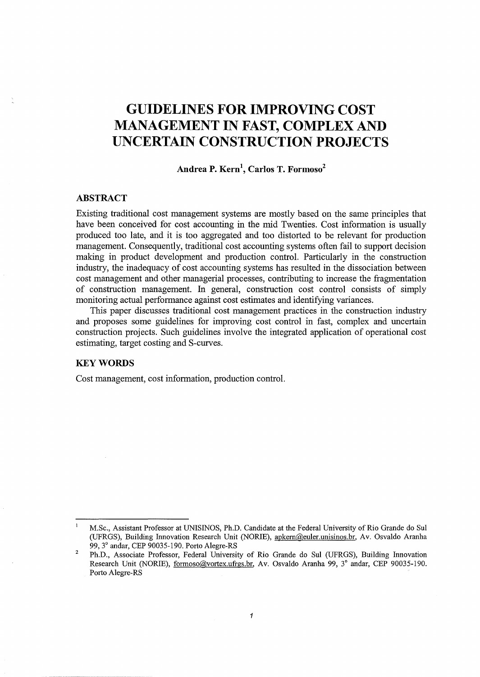# **GUIDELINES FOR IMPROVING COST MANAGEMENT IN FAST, COMPLEX AND UNCERTAIN CONSTRUCTION PROJECTS**

# **Andrea P. Kern\ Carlos T. Formoso<sup>2</sup>**

# **ABSTRACT**

Existing traditional cost management systems are mostly based on the same principles that have been conceived for cost accounting in the mid Twenties. Cost information is usually produced too late, and it is too aggregated and too distorted to be relevant for production management. Consequently, traditional cost accounting systems often fail to support decision making in product development and production control. Particularly in the construction industry, the inadequacy of cost accounting systems has resulted in the dissociation between cost management and other managerial processes, contributing to increase the fragmentation of construction management. In general, construction cost control consists of simply monitoring actual performance against cost estimates and identifying variances.

This paper discusses traditional cost management practices in the construction industry and proposes some guidelines for improving cost control in fast, complex and uncertain construction projects. Such guidelines involve the integrated application of operational cost estimating, target costing and S-curves.

## **KEYWORDS**

Cost management, cost information, production control.

M.Sc., Assistant Professor at UNISINOS, Ph.D. Candidate at the Federal University of Rio Grande do Sui (UFRGS), Building Innovation Research Unit (NORIE), apkern@euler.unisinos.br, Av. Osvaldo Aranha 99, 3° andar, CEP 90035-190. Porto Alegre-RS

<sup>2</sup>  Ph.D., Associate Professor, Federal University of Rio Grande do Sui (UFRGS), Building Innovation Research Unit (NORIE), formoso@vmtex.ufrgs.br, Av. Osvaldo Aranha 99, 3° andar, CEP 90035-190. Porto Alegre-RS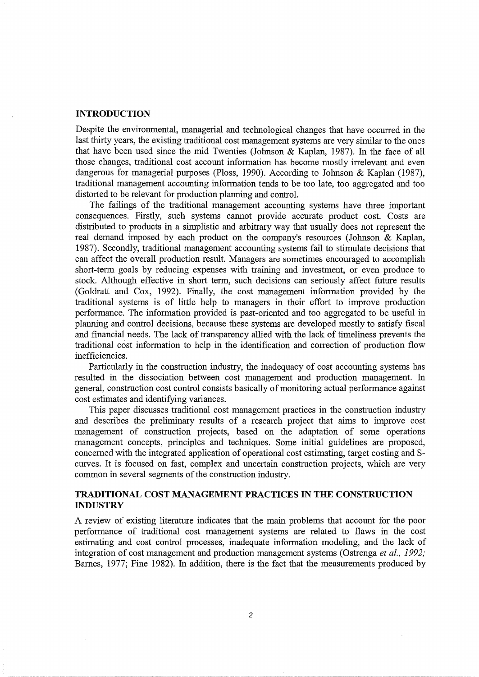#### **INTRODUCTION**

Despite the environmental, managerial and technological changes that have occurred in the last thirty years, the existing traditional cost management systems are very similar to the ones that have been used since the mid Twenties (Johnson & Kaplan, 1987). In the face of all those changes, traditional cost account information has become mostly irrelevant and even dangerous for managerial purposes (Ploss, 1990). According to Johnson & Kaplan (1987), traditional management accounting information tends to be too late, too aggregated and too distorted to be relevant for production planning and control.

The failings of the traditional management accounting systems have three important consequences. Firstly, such systems cannot provide accurate product cost. Costs are distributed to products in a simplistic and arbitrary way that usually does not represent the real demand imposed by each product on the company's resources (Johnson & Kaplan, 1987). Secondly, traditional management accounting systems fail to stimulate decisions that can affect the overall production result. Managers are sometimes encouraged to accomplish short-term goals by reducing expenses with training and investment, or even produce to stock. Although effective in short term, such decisions can seriously affect future results (Goldratt and Cox, 1992). Finally, the cost management information provided by the traditional systems is of little help to managers in their effort to improve production performance. The information provided is past-oriented and too aggregated to be useful in planning and control decisions, because these systems are developed mostly to satisfy fiscal and financial needs. The lack of transparency allied with the lack of timeliness prevents the traditional cost information to help in the identification and correction of production flow inefficiencies.

Particularly in the construction industry, the inadequacy of cost accounting systems has resulted in the dissociation between cost management and production management. In general, construction cost control consists basically of monitoring actual performance against cost estimates and identifying variances.

This paper discusses traditional cost management practices in the construction industry and describes the preliminary results of a research project that aims to improve cost management of construction projects, based on the adaptation of some operations management concepts, principles and techniques. Some initial guidelines are proposed, concerned with the integrated application of operational cost estimating, target costing and Scurves. It is focused on fast, complex and uncertain construction projects, which are very common in several segments of the construction industry.

# **TRADITIONAL COST MANAGEMENT PRACTICES IN THE CONSTRUCTION INDUSTRY**

A review of existing literature indicates that the main problems that account for the poor performance of traditional cost management systems are related to flaws in the cost estimating and cost control processes, inadequate information modeling, and the lack of integration of cost management and production management systems (Ostrenga *eta!., 1992;*  Barnes, 1977; Fine 1982). In addition, there is the fact that the measurements produced by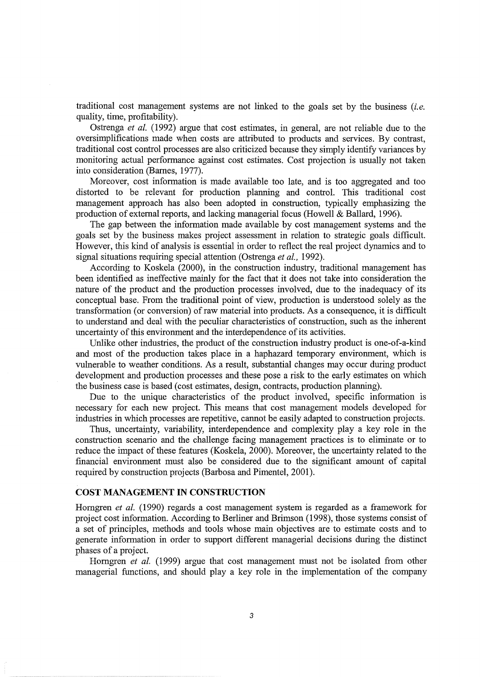traditional cost management systems are not linked to the goals set by the business *(i.e.*  quality, time, profitability).

Ostrenga *et a!.* (1992) argue that cost estimates, in general, are not reliable due to the oversimplifications made when costs are attributed to products and services. By contrast, traditional cost control processes are also criticized because they simply identify variances by monitoring actual performance against cost estimates. Cost projection is usually not taken into consideration (Barnes, 1977).

Moreover, cost information is made available too late, and is too aggregated and too distorted to be relevant for production planning and control. This traditional cost management approach has also been adopted in construction, typically emphasizing the production of external reports, and lacking managerial focus (Howell & Ballard, 1996).

The gap between the information made available by cost management systems and the goals set by the business makes project assessment in relation to strategic goals difficult. However, this kind of analysis is essential in order to reflect the real project dynamics and to signal situations requiring special attention (Ostrenga *et al.,* 1992).

According to Koskela (2000), in the construction industry, traditional management has been identified as ineffective mainly for the fact that it does not take into consideration the nature of the product and the production processes involved, due to the inadequacy of its conceptual base. From the traditional point of view, production is understood solely as the transformation (or conversion) of raw material into products. As a consequence, it is difficult to understand and deal with the peculiar characteristics of construction, such as the inherent uncertainty of this environment and the interdependence of its activities.

Unlike other industries, the product of the construction industry product is one-of-a-kind and most of the production takes place in a haphazard temporary environment, which is vulnerable to weather conditions. As a result, substantial changes may occur during product development and production processes and these pose a risk to the early estimates on which the business case is based (cost estimates, design, contracts, production planning).

Due to the unique characteristics of the product involved, specific information is necessary for each new project. This means that cost management models developed for industries in which processes are repetitive, cannot be easily adapted to construction projects.

Thus, uncertainty, variability, interdependence and complexity play a key role in the construction scenario and the challenge facing management practices is to eliminate or to reduce the impact of these features (Koskela, 2000). Moreover, the uncertainty related to the financial environment must also be considered due to the significant amount of capital required by construction projects (Barbosa and Pimentel, 2001 ).

## **COST MANAGEMENT IN CONSTRUCTION**

Horngren *et a!.* (1990) regards a cost management system is regarded as a framework for project cost information. According to Berliner and Brimson (1998), those systems consist of a set of principles, methods and tools whose main objectives are to estimate costs and to generate information in order to support different managerial decisions during the distinct phases of a project.

Horngren *et a!.* (1999) argue that cost management must not be isolated from other managerial functions, and should play a key role in the implementation of the company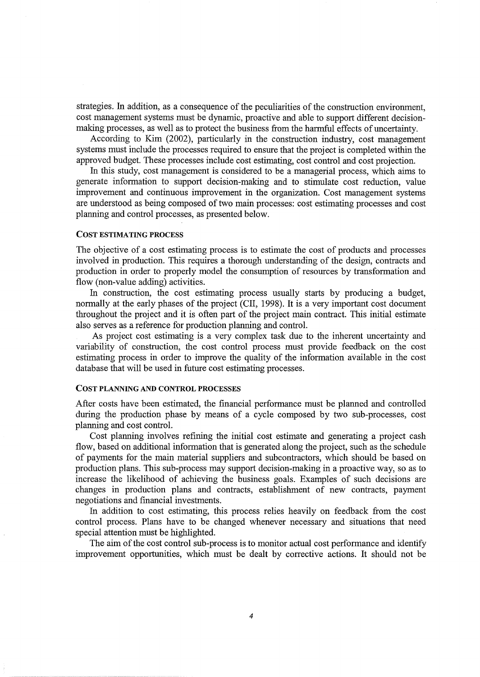strategies. In addition, as a consequence of the peculiarities of the construction environment, cost management systems must be dynamic, proactive and able to support different decisionmaking processes, as well as to protect the business from the hannful effects of uncertainty.

According to Kim (2002), particularly in the construction industry, cost management systems must include the processes required to ensure that the project is completed within the approved budget. These processes include cost estimating, cost control and cost projection.

In this study, cost management is considered to be a managerial process, which aims to generate information to support decision-making and to stimulate cost reduction, value improvement and continuous improvement in the organization. Cost management systems are understood as being composed of two main processes: cost estimating processes and cost planning and control processes, as presented below.

#### COST ESTIMATING PROCESS

The objective of a cost estimating process is to estimate the cost of products and processes involved in production. This requires a thorough understanding of the design, contracts and production in order to properly model the consumption of resources by transformation and flow (non-value adding) activities.

In construction, the cost estimating process usually starts by producing a budget, normally at the early phases of the project (CII, 1998). It is a very important cost document throughout the project and it is often part of the project main contract. This initial estimate also serves as a reference for production planning and control.

As project cost estimating is a very complex task due to the inherent uncertainty and variability of construction, the cost control process must provide feedback on the cost estimating process in order to improve the quality of the information available in the cost database that will be used in future cost estimating processes.

#### COST PLANNING AND CONTROL PROCESSES

After costs have been estimated, the financial performance must be planned and controlled during the production phase by means of a cycle composed by two sub-processes, cost planning and cost control.

Cost planning involves refining the initial cost estimate and generating a project cash flow, based on additional information that is generated along the project, such as the schedule of payments for the main material suppliers and subcontractors, which should be based on production plans. This sub-process may support decision-making in a proactive way, so as to increase the likelihood of achieving the business goals. Examples of such decisions are changes in production plans and contracts, establishment of new contracts, payment negotiations and financial investments.

In addition to cost estimating, this process relies heavily on feedback from the cost control process. Plans have to be changed whenever necessary and situations that need special attention must be highlighted.

The aim of the cost control sub-process is to monitor actual cost performance and identify improvement opportunities, which must be dealt by corrective actions. It should not be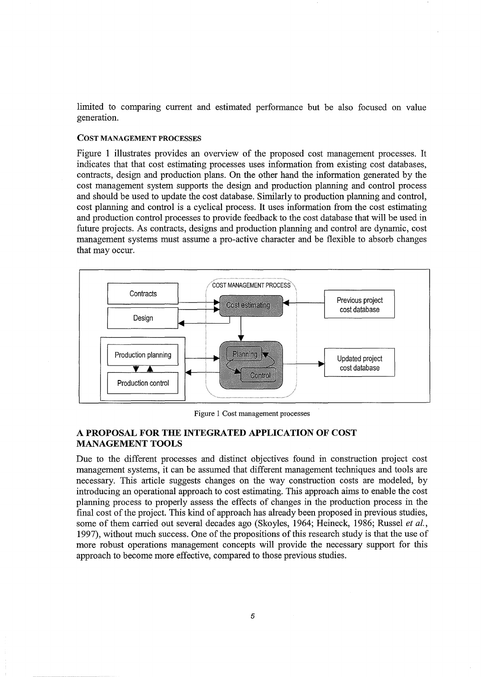limited to comparing current and estimated performance but be also focused on value generation.

#### COST MANAGEMENT PROCESSES

Figure 1 illustrates provides an overview of the proposed cost management processes. It indicates that that cost estimating processes uses information from existing cost databases, contracts, design and production plans. On the other hand the information generated by the cost management system supports the design and production planning and control process and should be used to update the cost database. Similarly to production planning and control, cost planning and control is a cyclical process. It uses information from the cost estimating and production control processes to provide feedback to the cost database that will be used in future projects. As contracts, designs and production planning and control are dynamic, cost management systems must assume a pro-active character and be flexible to absorb changes that may occur.



Figure 1 Cost management processes

# **A PROPOSAL FOR THE INTEGRATED APPLICATION OF COST MANAGEMENT TOOLS**

Due to the different processes and distinct objectives found in construction project cost management systems, it can be assumed that different management techniques and tools are necessary. This article suggests changes on the way construction costs are modeled, by introducing an operational approach to cost estimating. This approach aims to enable the cost planning process to properly assess the effects of changes in the production process in the final cost of the project. This kind of approach has already been proposed in previous studies, some of them carried out several decades ago (Skoyles, 1964; Reineck, 1986; Russel *et al.,*  1997), without much success. One of the propositions of this research study is that the use of more robust operations management concepts will provide the necessary support for this approach to become more effective, compared to those previous studies.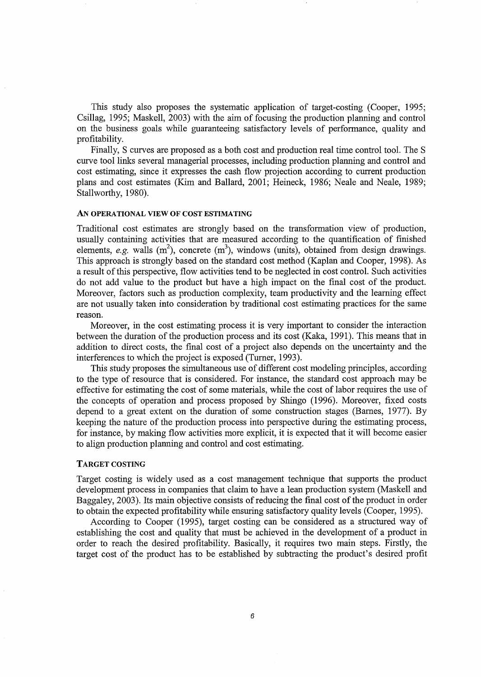This study also proposes the systematic application of target-costing (Cooper, 1995; Csillag, 1995; Maskell, 2003) with the aim of focusing the production planning and control on the business goals while guaranteeing satisfactory levels of performance, quality and profitability.

Finally, S curves are proposed as a both cost and production real time control tool. The S curve tool links several managerial processes, including production planning and control and cost estimating, since it expresses the cash flow projection according to current production plans and cost estimates (Kim and Ballard, 2001; Reineck, 1986; Neale and Neale, 1989; Stallworthy, 1980).

## AN OPERATIONAL VIEW OF COST ESTIMATING

Traditional cost estimates are strongly based on the transformation view of production, usually containing activities that are measured according to the quantification of finished elements, *e.g.* walls  $(m^2)$ , concrete  $(m^3)$ , windows (units), obtained from design drawings. This approach is strongly based on the standard cost method (Kaplan and Cooper, 1998). As a result of this perspective, flow activities tend to be neglected in cost control. Such activities do not add value to the product but have a high impact on the final cost of the product. Moreover, factors such as production complexity, team productivity and the learning effect are not usually taken into consideration by traditional cost estimating practices for the same reason.

Moreover, in the cost estimating process it is very important to consider the interaction between the duration of the production process and its cost (Kaka, 1991). This means that in addition to direct costs, the final cost of a project also depends on the uncertainty and the interferences to which the project is exposed (Turner, 1993).

This study proposes the simultaneous use of different cost modeling principles, according to the type of resource that is considered. For instance, the standard cost approach may be effective for estimating the cost of some materials, while the cost of labor requires the use of the concepts of operation and process proposed by Shingo (1996). Moreover, fixed costs depend to a great extent on the duration of some construction stages (Barnes, 1977). By keeping the nature of the production process into perspective during the estimating process, for instance, by making flow activities more explicit, it is expected that it will become easier to align production planning and control and cost estimating.

#### TARGET COSTING

Target costing is widely used as a cost management technique that supports the product development process in companies that claim to have a lean production system (Maskell and Baggaley, 2003). Its main objective consists of reducing the final cost of the product in order to obtain the expected profitability while ensuring satisfactory quality levels (Cooper, 1995).

According to Cooper (1995), target costing can be considered as a structured way of establishing the cost and quality that must be achieved in the development of a product in order to reach the desired profitability. Basically, it requires two main steps. Firstly, the target cost of the product has to be established by subtracting the product's desired profit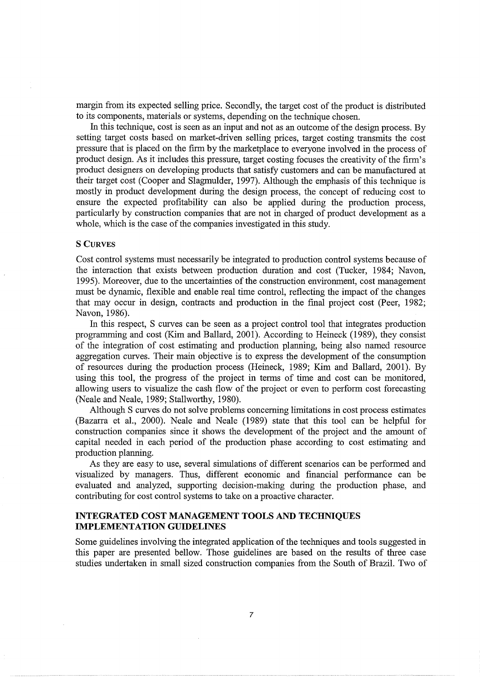margin from its expected selling price. Secondly, the target cost of the product is distributed to its components, materials or systems, depending on the technique chosen.

In this technique, cost is seen as an input and not as an outcome of the design process. By setting target costs based on market-driven selling prices, target costing transmits the cost pressure that is placed on the firm by the marketplace to everyone involved in the process of product design. As it includes this pressure, target costing focuses the creativity of the firm's product designers on developing products that satisfy customers and can be manufactured at their target cost (Cooper and Slagmulder, 1997). Although the emphasis of this technique is mostly in product development during the design process, the concept of reducing cost to ensure the expected profitability can also be applied during the production process, particularly by construction companies that are not in charged of product development as a whole, which is the case of the companies investigated in this study.

#### S CURVES

Cost control systems must necessarily be integrated to production control systems because of the interaction that exists between production duration and cost (Tucker, 1984; Navon, 1995). Moreover, due to the uncertainties of the construction environment, cost management must be dynamic, flexible and enable real time control, reflecting the impact of the changes that may occur in design, contracts and production in the final project cost (Peer, 1982; Navon, 1986).

In this respect, S curves can be seen as a project control tool that integrates production programming and cost (Kim and Ballard, 2001). According to Heineck (1989), they consist of the integration of cost estimating and production planning, being also named resource aggregation curves. Their main objective is to express the development of the consumption of resources during the production process (Heineck, 1989; Kim and Ballard, 2001). By using this tool, the progress of the project in terms of time and cost can be monitored, allowing users to visualize the cash flow of the project or even to perform cost forecasting (Neale and Neale, 1989; Stallworthy, 1980).

Although S curves do not solve problems concerning limitations in cost process estimates (Bazarra et al., 2000). Neale and Neale (1989) state that this tool can be helpful for construction companies since it shows the development of the project and the amount of capital needed in each period of the production phase according to cost estimating and production planning.

As they are easy to use, several simulations of different scenarios can be performed and visualized by managers. Thus, different economic and financial performance can be evaluated and analyzed, supporting decision-making during the production phase, and contributing for cost control systems to take on a proactive character.

# **INTEGRATED COST MANAGEMENT TOOLS AND TECHNIQUES IMPLEMENTATION GUIDELINES**

Some guidelines involving the integrated application of the techniques and tools suggested in this paper are presented bellow. Those guidelines are based on the results of three case studies undertaken in small sized construction companies from the South of Brazil. Two of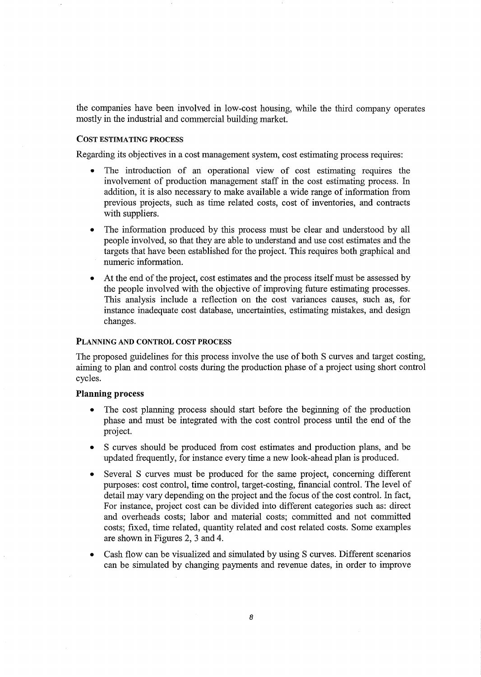the companies have been involved in low-cost housing, while the third company operates mostly in the industrial and commercial building market.

## COST ESTIMATING PROCESS

Regarding its objectives in a cost management system, cost estimating process requires:

- The introduction of an operational view of cost estimating requires the involvement of production management staff in the cost estimating process. In addition, it is also necessary to make available a wide range of information from previous projects, such as time related costs, cost of inventories, and contracts with suppliers.
- The information produced by this process must be clear and understood by all people involved, so that they are able to understand and use cost estimates and the targets that have been established for the project. This requires both graphical and numeric information.
- At the end of the project, cost estimates and the process itself must be assessed by the people involved with the objective of improving future estimating processes. This analysis include a reflection on the cost variances causes, such as, for instance inadequate cost database, uncertainties, estimating mistakes, and design changes.

#### PLANNING AND CONTROL COST PROCESS

The proposed guidelines for this process involve the use of both S curves and target costing, aiming to plan and control costs during the production phase of a project using short control cycles.

## **Planning** process

- The cost planning process should start before the beginning of the production phase and must be integrated with the cost control process until the end of the project.
- S curves should be produced from cost estimates and production plans, and be updated frequently, for instance every time a new look-ahead plan is produced.
- Several S curves must be produced for the same project, concerning different purposes: cost control, time control, target-costing, financial control. The level of detail may vary depending on the project and the focus of the cost control. In fact, For instance, project cost can be divided into different categories such as: direct and overheads costs; labor and material costs; committed and not committed costs; fixed, time related, quantity related and cost related costs. Some examples are shown in Figures 2, 3 and 4.
- Cash flow can be visualized and simulated by using S curves. Different scenarios can be simulated by changing payments and revenue dates, in order to improve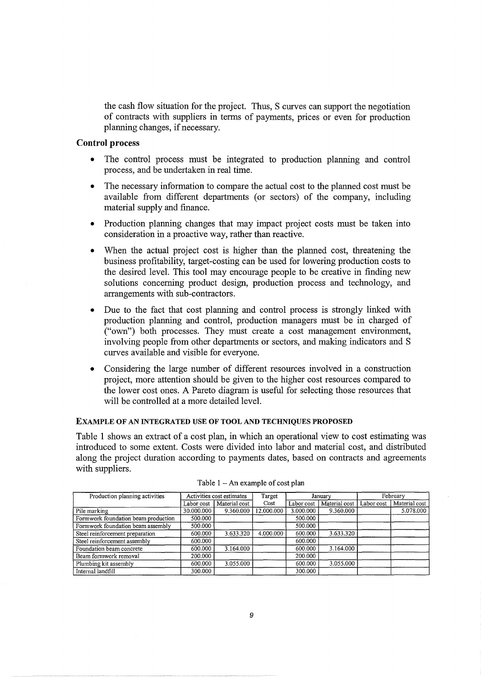the cash flow situation for the project. Thus, S curves can support the negotiation of contracts with suppliers in terms of payments, prices or even for production planning changes, if necessary.

# Control process

- The control process must be integrated to production planning and control process, and be undertaken in real time.
- The necessary information to compare the actual cost to the planned cost must be available from different departments (or sectors) of the company, including material supply and finance.
- Production planning changes that may impact project costs must be taken into consideration in a proactive way, rather than reactive.
- When the actual project cost is higher than the planned cost, threatening the business profitability, target-costing can be used for lowering production costs to the desired level. This tool may encourage people to be creative in finding new solutions concerning product design, production process and technology, and arrangements with sub-contractors.
- Due to the fact that cost planning and control process is strongly linked with production planning and control, production managers must be in charged of ("own") both processes. They must create a cost management environment, involving people from other departments or sectors, and making indicators and S curves available and visible for everyone.
- Considering the large number of different resources involved in a construction project, more attention should be given to the higher cost resources compared to the lower cost ones. A Pareto diagram is useful for selecting those resources that will be controlled at a more detailed level.

## EXAMPLE OF AN INTEGRATED USE OF TOOL AND TECHNIQUES PROPOSED

Table 1 shows an extract of a cost plan, in which an operational view to cost estimating was introduced to some extent. Costs were divided into labor and material cost, and distributed along the project duration according to payments dates, based on contracts and agreements with suppliers.

| Production planning activities      | Activities cost estimates |               | Target     | January    |               | February   |               |
|-------------------------------------|---------------------------|---------------|------------|------------|---------------|------------|---------------|
|                                     | Labor cost                | Material cost | Cost       | Labor cost | Material cost | Labor cost | Material cost |
| Pile marking                        | 30.000.000                | 9.360.000     | 12.000.000 | 3.000.000  | 9.360.000     |            | 5.078.000     |
| Formwork foundation beam production | 500.000                   |               |            | 500.000    |               |            |               |
| Formwork foundation beam assembly   | 500.000                   |               |            | 500.000    |               |            |               |
| Steel reinforcement preparation     | 600.000                   | 3.633.320     | 4.000.000  | 600.000    | 3.633.320     |            |               |
| Steel reinforcement assembly        | 600.000                   |               |            | 600.000    |               |            |               |
| Foundation beam concrete            | 600.000                   | 3.164.000     |            | 600.000    | 3.164.000     |            |               |
| Beam formwork removal               | 200.000                   |               |            | 200.000    |               |            |               |
| Plumbing kit assembly               | 600.000                   | 3.055.000     |            | 600.000    | 3.055.000     |            |               |
| Internal landfill                   | 300.000                   |               |            | 300.000    |               |            |               |

Table  $1 - An$  example of cost plan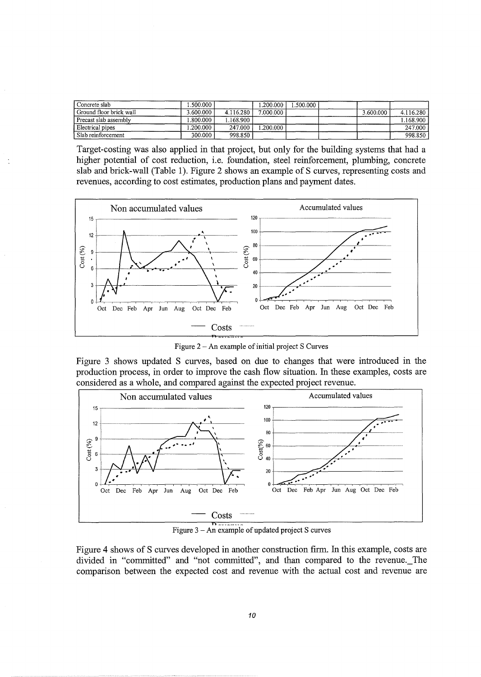| Concrete slab           | .500.000  |           | .200.000  | .500.000 |           |             |
|-------------------------|-----------|-----------|-----------|----------|-----------|-------------|
| Ground floor brick wall | 3.600.000 | 4.116.280 | 7.000.000 |          | 3.600.000 | 4.116.280   |
| Precast slab assembly   | .800.000  | .168.900  |           |          |           | l.168.900 l |
| Electrical pipes        | .200.000  | 247.000   | .200.000  |          |           | 247.000     |
| Slab reinforcement      | 300.000   | 998.850   |           |          |           | 998.850     |

Target-costing was also applied in that project, but only for the building systems that had a higher potential of cost reduction, i.e. foundation, steel reinforcement, plumbing, concrete slab and brick-wall (Table 1). Figure 2 shows an example of S curves, representing costs and revenues, according to cost estimates, production plans and payment dates.



Figure 2- An example of initial project S Curves

Figure 3 shows updated S curves, based on due to changes that were introduced in the production process, in order to improve the cash flow situation. In these examples, costs are considered as a whole, and compared against the expected project revenue.



Figure  $3 - An$  example of updated project S curves

Figure 4 shows of S curves developed in another construction firm. In this example, costs are divided in "committed" and "not committed", and than compared to the revenue.\_The comparison between the expected cost and revenue with the actual cost and revenue are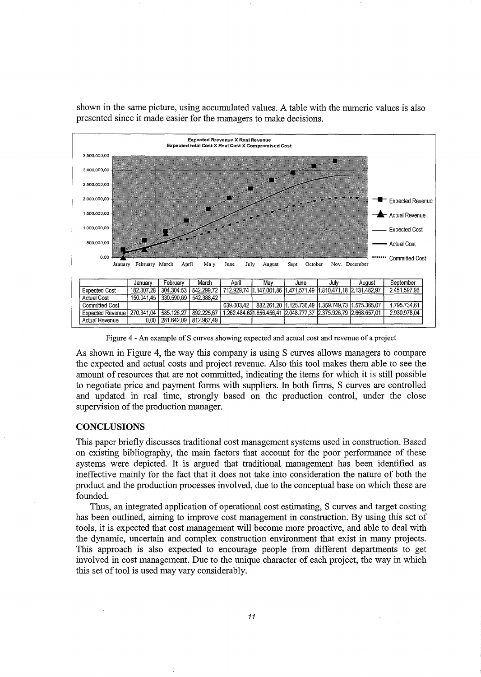

shown in the same picture, using accumulated values. A table with the numeric values is also presented since it made easier for the managers to make decisions.

Figure 4 - An example of S curves showing expected and actual cost and revenue of a project

As shown in Figure 4, the way this company is using S curves allows managers to compare the expected and actual costs and project revenue. Also this tool makes them able to see the amount of resources that are not committed, indicating the items for which it is still possible to negotiate price and payment forms with suppliers. In both firms, S curves are controlled and updated in real time, strongly based on the production control, under the close supervision of the production manager.

## **CONCLUSIONS**

This paper briefly discusses traditional cost management systems used in construction. Based on existing bibliography, the main factors that account for the poor performance of these systems were depicted. It is argued that traditional management has been identified as ineffective mainly for the fact that it does not take into consideration the nature of both the product and the production processes involved, due to the conceptual base on which these are founded.

Thus, an integrated application of operational cost estimating, S curves and target costing has been outlined, aiming to improve cost management in construction. By using this set of tools, it is expected that cost management will become more proactive, and able to deal with the dynamic, uncertain and complex construction environment that exist in many projects. This approach is also expected to encourage people from different departments to get involved in cost management. Due to the unique character of each project, the way in which this set of tool is used may vary considerably.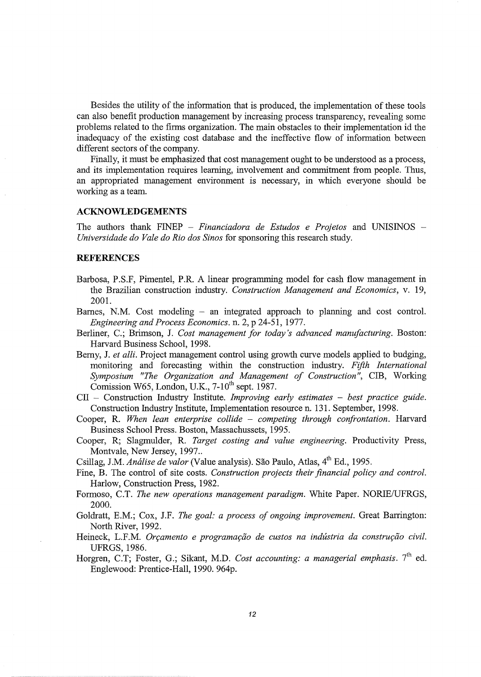Besides the utility of the information that is produced, the implementation of these tools can also benefit production management by increasing process transparency, revealing some problems related to the firms organization. The main obstacles to their implementation id the inadequacy of the existing cost database and the ineffective flow of information between different sectors of the company.

Finally, it must be emphasized that cost management ought to be understood as a process, and its implementation requires learning, involvement and commitment from people. Thus, an appropriated management environment is necessary, in which everyone should be working as a team.

#### **ACKNOWLEDGEMENTS**

The authors thank FINEP - *Financiadora de Estudos e Projetos* and UNISINOS - *Universidade do Vale do Rio dos Sinos* for sponsoring this research study.

## **REFERENCES**

- Barbosa, P.S.F, Pimentel, P.R. A linear programming model for cash flow management in the Brazilian construction industry. *Construction Management and Economics,* v. 19, 2001.
- Barnes, N.M. Cost modeling an integrated approach to planning and cost control. *Engineering and Process Economics.* n. 2, p 24-51, 1977.
- Berliner, C.; Brimson, J. *Cost management for today* 's *advanced manufacturing.* Boston: Harvard Business School, 1998.
- Berny, J. *et alli*. Project management control using growth curve models applied to budging, monitoring and forecasting within the construction industry. *Fifth International Symposium "The Organization and Management of Construction",* CIB, Working Comission W65, London, U.K.,  $7-10^{th}$  sept. 1987.
- CII Construction Industry Institute. *Improving early estimates best practice guide.*  Construction Industry Institute, Implementation resource n. 131. September, 1998.
- Cooper, R. *When lean enterprise collide competing through confrontation.* Harvard Business School Press. Boston, Massachussets, 1995.
- Cooper, R; Slagrnulder, R. *Target costing and value engineering.* Productivity Press, Montvale, New Jersey, 1997...
- Csillag, J.M. *Análise de valor* (Value analysis). São Paulo, Atlas, 4<sup>th</sup> Ed., 1995.
- Fine, B. The control of site costs. *Construction projects their financial policy and control.*  Harlow, Construction Press, 1982.
- Formoso, C.T. *The new operations management paradigm*. White Paper. NORIE/UFRGS, 2000.
- Goldratt, E.M.; Cox, J.F. *The goal: a process of ongoing improvement.* Great Barrington: North River, 1992.
- Heineck, L.F.M. *Orçamento e programação de custos na indústria da construção civil.* UFRGS, 1986.
- Horgren, C.T; Foster, G.; Sikant, M.D. *Cost accounting: a managerial emphasis*. 7<sup>th</sup> ed. Englewood: Prentice-Hall, 1990. 964p.